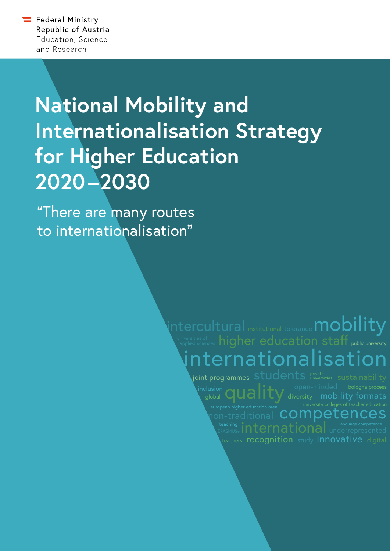

# **National Mobility and Internationalisation Strategy for Higher Education 2020–2030**

"There are many routes to internationalisation"

> nternationalisatio  $\dot{\mathbf{q}}$ ntercultural institutional tolerance <code>mobility</code>

I **competences**<br>inational lunderrepresented non-traditional teachers recognition study innovative digital joint programmes  $\,$ s $t$ u $d$ en $t$ s  $^{\hbox{\tiny private}}_{\hbox{\tiny universities}}$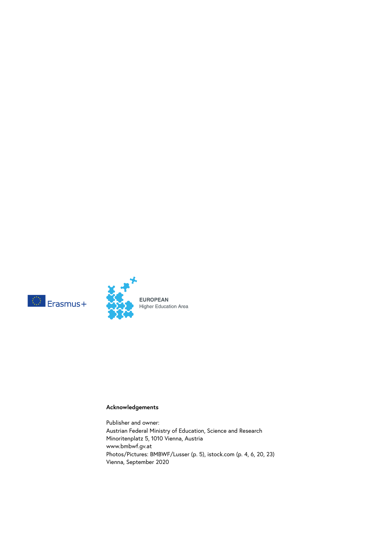



#### **Acknowledgements**

Publisher and owner: Austrian Federal Ministry of Education, Science and Research Minoritenplatz 5, 1010 Vienna, Austria [www.bmbwf.gv.at](https://www.bmbwf.gv.at/en.html) Photos/Pictures: BMBWF/Lusser (p. 5), istock.com (p. 4, 6, 20, 23) Vienna, September 2020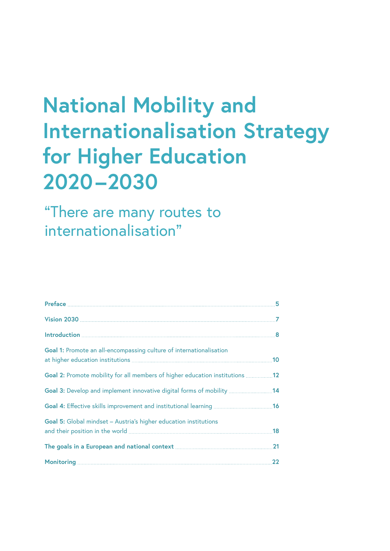## **National Mobility and Internationalisation Strategy for Higher Education 2020–2030**

"There are many routes to internationalisation"

| Goal 1: Promote an all-encompassing culture of internationalisation          |     |
|------------------------------------------------------------------------------|-----|
| Goal 2: Promote mobility for all members of higher education institutions 12 |     |
| Goal 3: Develop and implement innovative digital forms of mobility 14        |     |
|                                                                              |     |
| Goal 5: Global mindset - Austria's higher education institutions             |     |
|                                                                              | .21 |
|                                                                              | 22  |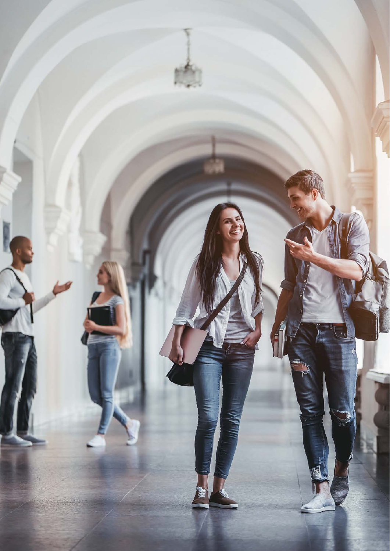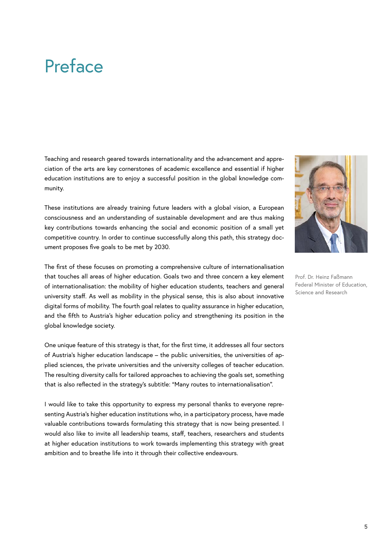### <span id="page-4-0"></span>Preface

Teaching and research geared towards internationality and the advancement and appreciation of the arts are key cornerstones of academic excellence and essential if higher education institutions are to enjoy a successful position in the global knowledge community.

These institutions are already training future leaders with a global vision, a European consciousness and an understanding of sustainable development and are thus making key contributions towards enhancing the social and economic position of a small yet competitive country. In order to continue successfully along this path, this strategy document proposes five goals to be met by 2030.

The first of these focuses on promoting a comprehensive culture of internationalisation that touches all areas of higher education. Goals two and three concern a key element of internationalisation: the mobility of higher education students, teachers and general university staff. As well as mobility in the physical sense, this is also about innovative digital forms of mobility. The fourth goal relates to quality assurance in higher education, and the fifth to Austria's higher education policy and strengthening its position in the global knowledge society.

One unique feature of this strategy is that, for the first time, it addresses all four sectors of Austria's higher education landscape – the public universities, the universities of applied sciences, the private universities and the university colleges of teacher education. The resulting diversity calls for tailored approaches to achieving the goals set, something that is also reflected in the strategy's subtitle: "Many routes to internationalisation".

I would like to take this opportunity to express my personal thanks to everyone representing Austria's higher education institutions who, in a participatory process, have made valuable contributions towards formulating this strategy that is now being presented. I would also like to invite all leadership teams, staff, teachers, researchers and students at higher education institutions to work towards implementing this strategy with great ambition and to breathe life into it through their collective endeavours.



Prof. Dr. Heinz Faßmann Federal Minister of Education, Science and Research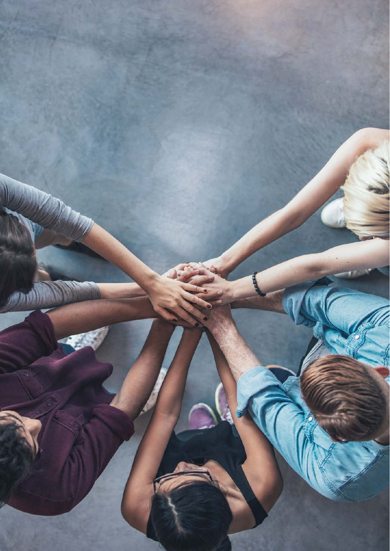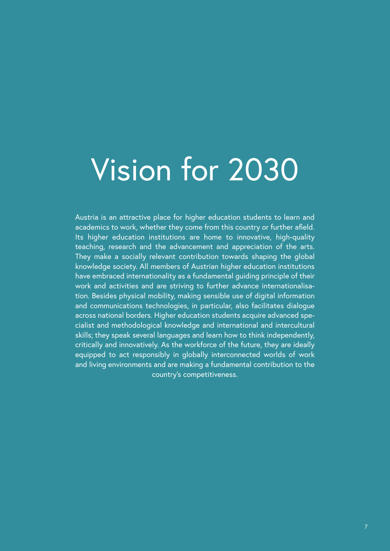# <span id="page-6-0"></span>Vision for 2030

Austria is an attractive place for higher education students to learn and academics to work, whether they come from this country or further afield. Its higher education institutions are home to innovative, high-quality teaching, research and the advancement and appreciation of the arts. They make a socially relevant contribution towards shaping the global knowledge society. All members of Austrian higher education institutions have embraced internationality as a fundamental guiding principle of their work and activities and are striving to further advance internationalisation. Besides physical mobility, making sensible use of digital information and communications technologies, in particular, also facilitates dialogue across national borders. Higher education students acquire advanced specialist and methodological knowledge and international and intercultural skills; they speak several languages and learn how to think independently, critically and innovatively. As the workforce of the future, they are ideally equipped to act responsibly in globally interconnected worlds of work and living environments and are making a fundamental contribution to the country's competitiveness.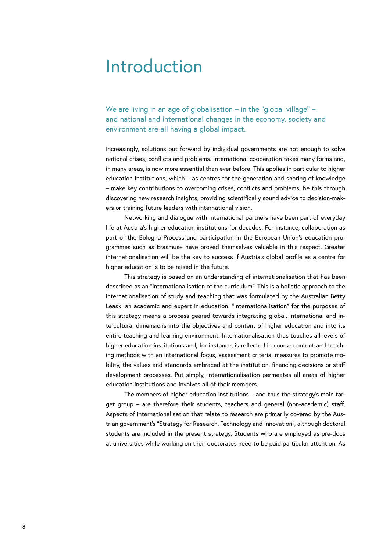#### <span id="page-7-0"></span>Introduction

We are living in an age of globalisation – in the "global village" – and national and international changes in the economy, society and environment are all having a global impact.

Increasingly, solutions put forward by individual governments are not enough to solve national crises, conflicts and problems. International cooperation takes many forms and, in many areas, is now more essential than ever before. This applies in particular to higher education institutions, which – as centres for the generation and sharing of knowledge – make key contributions to overcoming crises, conflicts and problems, be this through discovering new research insights, providing scientifically sound advice to decision-makers or training future leaders with international vision.

Networking and dialogue with international partners have been part of everyday life at Austria's higher education institutions for decades. For instance, collaboration as part of the Bologna Process and participation in the European Union's education programmes such as Erasmus+ have proved themselves valuable in this respect. Greater internationalisation will be the key to success if Austria's global profile as a centre for higher education is to be raised in the future.

This strategy is based on an understanding of internationalisation that has been described as an "internationalisation of the curriculum". This is a holistic approach to the internationalisation of study and teaching that was formulated by the Australian Betty Leask, an academic and expert in education. "Internationalisation" for the purposes of this strategy means a process geared towards integrating global, international and intercultural dimensions into the objectives and content of higher education and into its entire teaching and learning environment. Internationalisation thus touches all levels of higher education institutions and, for instance, is reflected in course content and teaching methods with an international focus, assessment criteria, measures to promote mobility, the values and standards embraced at the institution, financing decisions or staff development processes. Put simply, internationalisation permeates all areas of higher education institutions and involves all of their members.

The members of higher education institutions – and thus the strategy's main target group – are therefore their students, teachers and general (non-academic) staff. Aspects of internationalisation that relate to research are primarily covered by the Austrian government's "Strategy for Research, Technology and Innovation", although doctoral students are included in the present strategy. Students who are employed as pre-docs at universities while working on their doctorates need to be paid particular attention. As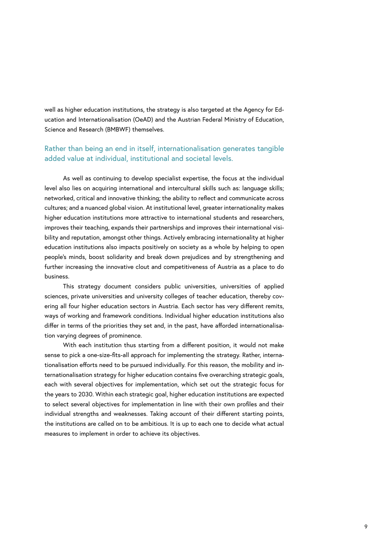well as higher education institutions, the strategy is also targeted at the Agency for Education and Internationalisation (OeAD) and the Austrian Federal Ministry of Education, Science and Research (BMBWF) themselves.

#### Rather than being an end in itself, internationalisation generates tangible added value at individual, institutional and societal levels.

As well as continuing to develop specialist expertise, the focus at the individual level also lies on acquiring international and intercultural skills such as: language skills; networked, critical and innovative thinking; the ability to reflect and communicate across cultures; and a nuanced global vision. At institutional level, greater internationality makes higher education institutions more attractive to international students and researchers, improves their teaching, expands their partnerships and improves their international visibility and reputation, amongst other things. Actively embracing internationality at higher education institutions also impacts positively on society as a whole by helping to open people's minds, boost solidarity and break down prejudices and by strengthening and further increasing the innovative clout and competitiveness of Austria as a place to do business.

This strategy document considers public universities, universities of applied sciences, private universities and university colleges of teacher education, thereby covering all four higher education sectors in Austria. Each sector has very different remits, ways of working and framework conditions. Individual higher education institutions also differ in terms of the priorities they set and, in the past, have afforded internationalisation varying degrees of prominence.

With each institution thus starting from a different position, it would not make sense to pick a one-size-fits-all approach for implementing the strategy. Rather, internationalisation efforts need to be pursued individually. For this reason, the mobility and internationalisation strategy for higher education contains five overarching strategic goals, each with several objectives for implementation, which set out the strategic focus for the years to 2030. Within each strategic goal, higher education institutions are expected to select several objectives for implementation in line with their own profiles and their individual strengths and weaknesses. Taking account of their different starting points, the institutions are called on to be ambitious. It is up to each one to decide what actual measures to implement in order to achieve its objectives.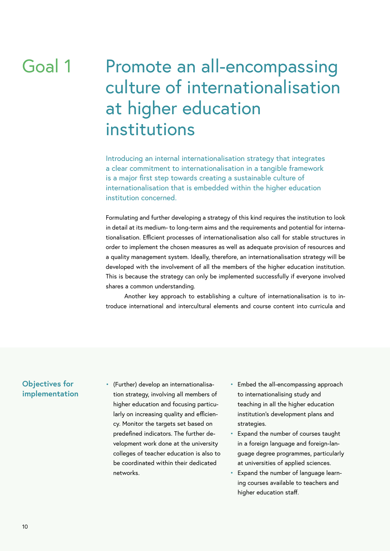#### <span id="page-9-0"></span>Goal 1

### Promote an all-encompassing culture of internationalisation at higher education institutions

Introducing an internal internationalisation strategy that integrates a clear commitment to internationalisation in a tangible framework is a major first step towards creating a sustainable culture of internationalisation that is embedded within the higher education institution concerned.

Formulating and further developing a strategy of this kind requires the institution to look in detail at its medium- to long-term aims and the requirements and potential for internationalisation. Efficient processes of internationalisation also call for stable structures in order to implement the chosen measures as well as adequate provision of resources and a quality management system. Ideally, therefore, an internationalisation strategy will be developed with the involvement of all the members of the higher education institution. This is because the strategy can only be implemented successfully if everyone involved shares a common understanding.

Another key approach to establishing a culture of internationalisation is to introduce international and intercultural elements and course content into curricula and

- (Further) develop an internationalisation strategy, involving all members of higher education and focusing particularly on increasing quality and efficiency. Monitor the targets set based on predefined indicators. The further development work done at the university colleges of teacher education is also to be coordinated within their dedicated networks.
- Embed the all-encompassing approach to internationalising study and teaching in all the higher education institution's development plans and strategies.
- Expand the number of courses taught in a foreign language and foreign-language degree programmes, particularly at universities of applied sciences.
- Expand the number of language learning courses available to teachers and higher education staff.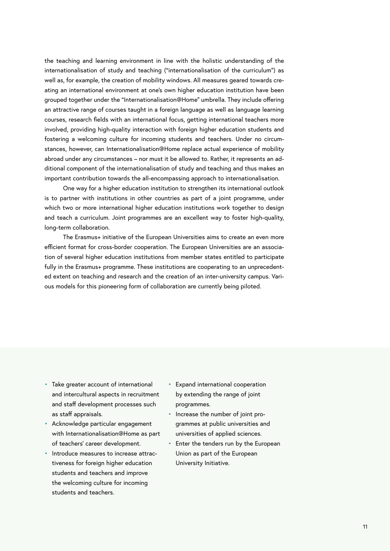the teaching and learning environment in line with the holistic understanding of the internationalisation of study and teaching ("internationalisation of the curriculum") as well as, for example, the creation of mobility windows. All measures geared towards creating an international environment at one's own higher education institution have been grouped together under the "Internationalisation@Home" umbrella. They include offering an attractive range of courses taught in a foreign language as well as language learning courses, research fields with an international focus, getting international teachers more involved, providing high-quality interaction with foreign higher education students and fostering a welcoming culture for incoming students and teachers. Under no circumstances, however, can Internationalisation@Home replace actual experience of mobility abroad under any circumstances – nor must it be allowed to. Rather, it represents an additional component of the internationalisation of study and teaching and thus makes an important contribution towards the all-encompassing approach to internationalisation.

One way for a higher education institution to strengthen its international outlook is to partner with institutions in other countries as part of a joint programme, under which two or more international higher education institutions work together to design and teach a curriculum. Joint programmes are an excellent way to foster high-quality, long-term collaboration.

The Erasmus+ initiative of the European Universities aims to create an even more efficient format for cross-border cooperation. The European Universities are an association of several higher education institutions from member states entitled to participate fully in the Erasmus+ programme. These institutions are cooperating to an unprecedented extent on teaching and research and the creation of an inter-university campus. Various models for this pioneering form of collaboration are currently being piloted.

- Take greater account of international and intercultural aspects in recruitment and staff development processes such as staff appraisals.
- Acknowledge particular engagement with Internationalisation@Home as part of teachers' career development.
- Introduce measures to increase attractiveness for foreign higher education students and teachers and improve the welcoming culture for incoming students and teachers.
- Expand international cooperation by extending the range of joint programmes.
- Increase the number of joint programmes at public universities and universities of applied sciences.
- Enter the tenders run by the European Union as part of the European University Initiative.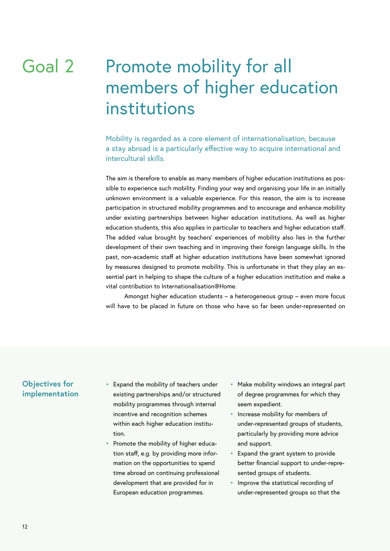#### <span id="page-11-0"></span>Promote mobility for all members of higher education institutions Goal 2

Mobility is regarded as a core element of internationalisation, because a stay abroad is a particularly effective way to acquire international and intercultural skills.

The aim is therefore to enable as many members of higher education institutions as possible to experience such mobility. Finding your way and organising your life in an initially unknown environment is a valuable experience. For this reason, the aim is to increase participation in structured mobility programmes and to encourage and enhance mobility under existing partnerships between higher education institutions. As well as higher education students, this also applies in particular to teachers and higher education staff. The added value brought by teachers' experiences of mobility also lies in the further development of their own teaching and in improving their foreign language skills. In the past, non-academic staff at higher education institutions have been somewhat ignored by measures designed to promote mobility. This is unfortunate in that they play an essential part in helping to shape the culture of a higher education institution and make a vital contribution to Internationalisation@Home.

Amongst higher education students – a heterogeneous group – even more focus will have to be placed in future on those who have so far been under-represented on

- Expand the mobility of teachers under existing partnerships and/or structured mobility programmes through internal incentive and recognition schemes within each higher education institution.
- Promote the mobility of higher education staff, e.g. by providing more information on the opportunities to spend time abroad on continuing professional development that are provided for in European education programmes.
- Make mobility windows an integral part of degree programmes for which they seem expedient.
- Increase mobility for members of under-represented groups of students, particularly by providing more advice and support.
- Expand the grant system to provide better financial support to under-represented groups of students.
- Improve the statistical recording of under-represented groups so that the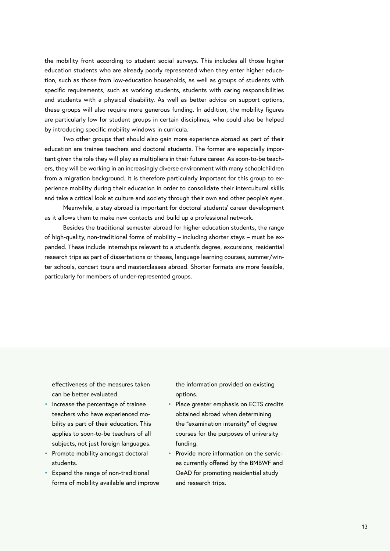the mobility front according to student social surveys. This includes all those higher education students who are already poorly represented when they enter higher education, such as those from low-education households, as well as groups of students with specific requirements, such as working students, students with caring responsibilities and students with a physical disability. As well as better advice on support options, these groups will also require more generous funding. In addition, the mobility figures are particularly low for student groups in certain disciplines, who could also be helped by introducing specific mobility windows in curricula.

Two other groups that should also gain more experience abroad as part of their education are trainee teachers and doctoral students. The former are especially important given the role they will play as multipliers in their future career. As soon-to-be teachers, they will be working in an increasingly diverse environment with many schoolchildren from a migration background. It is therefore particularly important for this group to experience mobility during their education in order to consolidate their intercultural skills and take a critical look at culture and society through their own and other people's eyes.

Meanwhile, a stay abroad is important for doctoral students' career development as it allows them to make new contacts and build up a professional network.

Besides the traditional semester abroad for higher education students, the range of high-quality, non-traditional forms of mobility – including shorter stays – must be expanded. These include internships relevant to a student's degree, excursions, residential research trips as part of dissertations or theses, language learning courses, summer/winter schools, concert tours and masterclasses abroad. Shorter formats are more feasible, particularly for members of under-represented groups.

effectiveness of the measures taken can be better evaluated.

- Increase the percentage of trainee teachers who have experienced mobility as part of their education. This applies to soon-to-be teachers of all subjects, not just foreign languages.
- Promote mobility amongst doctoral students.
- Expand the range of non-traditional forms of mobility available and improve

the information provided on existing options.

- Place greater emphasis on ECTS credits obtained abroad when determining the "examination intensity" of degree courses for the purposes of university funding.
- Provide more information on the services currently offered by the BMBWF and OeAD for promoting residential study and research trips.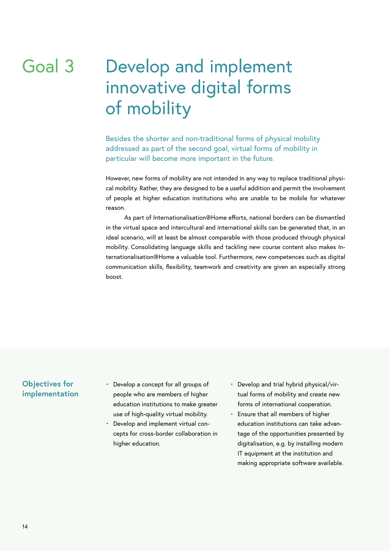### <span id="page-13-0"></span>Goal 3

### Develop and implement innovative digital forms of mobility

Besides the shorter and non-traditional forms of physical mobility addressed as part of the second goal, virtual forms of mobility in particular will become more important in the future.

However, new forms of mobility are not intended in any way to replace traditional physical mobility. Rather, they are designed to be a useful addition and permit the involvement of people at higher education institutions who are unable to be mobile for whatever reason.

As part of Internationalisation@Home efforts, national borders can be dismantled in the virtual space and intercultural and international skills can be generated that, in an ideal scenario, will at least be almost comparable with those produced through physical mobility. Consolidating language skills and tackling new course content also makes Internationalisation@Home a valuable tool. Furthermore, new competences such as digital communication skills, flexibility, teamwork and creativity are given an especially strong boost.

- Develop a concept for all groups of people who are members of higher education institutions to make greater use of high-quality virtual mobility.
- Develop and implement virtual concepts for cross-border collaboration in higher education.
- Develop and trial hybrid physical/virtual forms of mobility and create new forms of international cooperation.
- Ensure that all members of higher education institutions can take advantage of the opportunities presented by digitalisation, e.g. by installing modern IT equipment at the institution and making appropriate software available.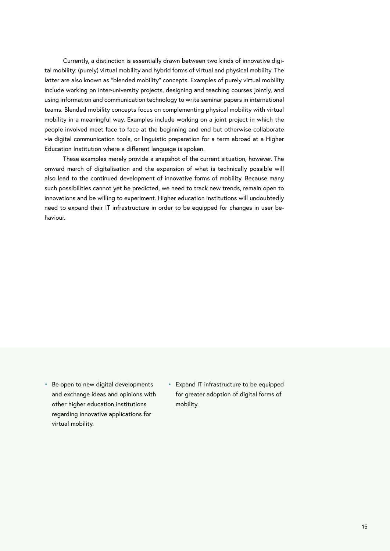Currently, a distinction is essentially drawn between two kinds of innovative digital mobility: (purely) virtual mobility and hybrid forms of virtual and physical mobility. The latter are also known as "blended mobility" concepts. Examples of purely virtual mobility include working on inter-university projects, designing and teaching courses jointly, and using information and communication technology to write seminar papers in international teams. Blended mobility concepts focus on complementing physical mobility with virtual mobility in a meaningful way. Examples include working on a joint project in which the people involved meet face to face at the beginning and end but otherwise collaborate via digital communication tools, or linguistic preparation for a term abroad at a Higher Education Institution where a different language is spoken.

These examples merely provide a snapshot of the current situation, however. The onward march of digitalisation and the expansion of what is technically possible will also lead to the continued development of innovative forms of mobility. Because many such possibilities cannot yet be predicted, we need to track new trends, remain open to innovations and be willing to experiment. Higher education institutions will undoubtedly need to expand their IT infrastructure in order to be equipped for changes in user behaviour.

- Be open to new digital developments and exchange ideas and opinions with other higher education institutions regarding innovative applications for virtual mobility.
- Expand IT infrastructure to be equipped for greater adoption of digital forms of mobility.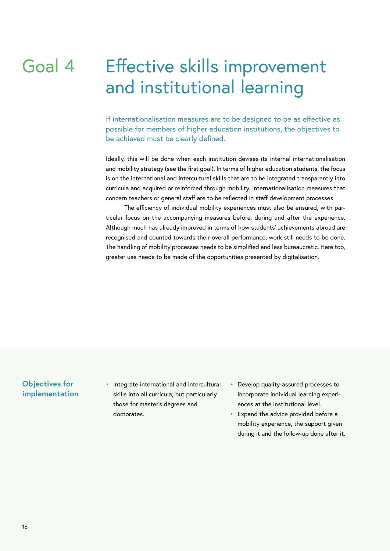#### <span id="page-15-0"></span>Effective skills improvement and institutional learning Goal 4

If internationalisation measures are to be designed to be as effective as possible for members of higher education institutions, the objectives to be achieved must be clearly defined.

Ideally, this will be done when each institution devises its internal internationalisation and mobility strategy (see the first goal). In terms of higher education students, the focus is on the international and intercultural skills that are to be integrated transparently into curricula and acquired or reinforced through mobility. Internationalisation measures that concern teachers or general staff are to be reflected in staff development processes.

The efficiency of individual mobility experiences must also be ensured, with particular focus on the accompanying measures before, during and after the experience. Although much has already improved in terms of how students' achievements abroad are recognised and counted towards their overall performance, work still needs to be done. The handling of mobility processes needs to be simplified and less bureaucratic. Here too, greater use needs to be made of the opportunities presented by digitalisation.

- Integrate international and intercultural skills into all curricula, but particularly those for master's degrees and doctorates.
- Develop quality-assured processes to incorporate individual learning experiences at the institutional level.
- Expand the advice provided before a mobility experience, the support given during it and the follow-up done after it.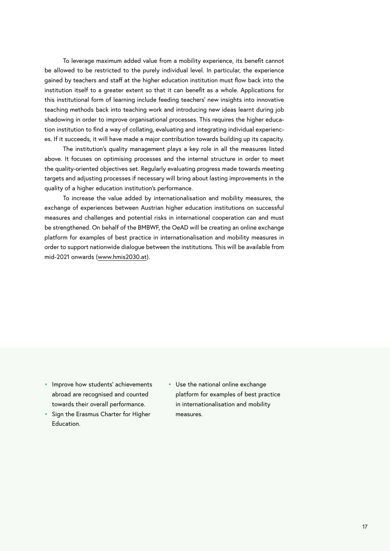To leverage maximum added value from a mobility experience, its benefit cannot be allowed to be restricted to the purely individual level. In particular, the experience gained by teachers and staff at the higher education institution must flow back into the institution itself to a greater extent so that it can benefit as a whole. Applications for this institutional form of learning include feeding teachers' new insights into innovative teaching methods back into teaching work and introducing new ideas learnt during job shadowing in order to improve organisational processes. This requires the higher education institution to find a way of collating, evaluating and integrating individual experiences. If it succeeds, it will have made a major contribution towards building up its capacity.

The institution's quality management plays a key role in all the measures listed above. It focuses on optimising processes and the internal structure in order to meet the quality-oriented objectives set. Regularly evaluating progress made towards meeting targets and adjusting processes if necessary will bring about lasting improvements in the quality of a higher education institution's performance.

To increase the value added by internationalisation and mobility measures, the exchange of experiences between Austrian higher education institutions on successful measures and challenges and potential risks in international cooperation can and must be strengthened. On behalf of the BMBWF, the OeAD will be creating an online exchange platform for examples of best practice in internationalisation and mobility measures in order to support nationwide dialogue between the institutions. This will be available from mid-2021 onwards [\(www.hmis2030.at\)](http://www.hmis2030.at).

- Improve how students' achievements abroad are recognised and counted towards their overall performance.
- Sign the Erasmus Charter for Higher Education.
- Use the national online exchange platform for examples of best practice in internationalisation and mobility measures.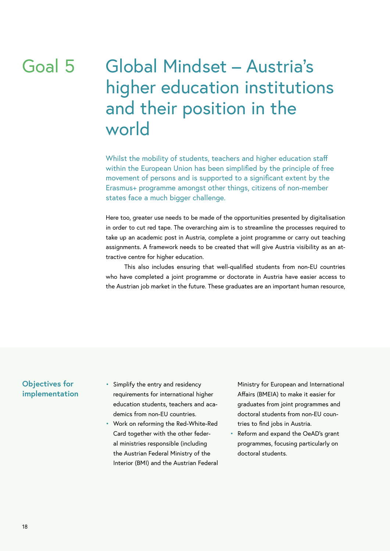### <span id="page-17-0"></span>Goal 5

### Global Mindset – Austria's higher education institutions and their position in the world

Whilst the mobility of students, teachers and higher education staff within the European Union has been simplified by the principle of free movement of persons and is supported to a significant extent by the Erasmus+ programme amongst other things, citizens of non-member states face a much bigger challenge.

Here too, greater use needs to be made of the opportunities presented by digitalisation in order to cut red tape. The overarching aim is to streamline the processes required to take up an academic post in Austria, complete a joint programme or carry out teaching assignments. A framework needs to be created that will give Austria visibility as an attractive centre for higher education.

This also includes ensuring that well-qualified students from non-EU countries who have completed a joint programme or doctorate in Austria have easier access to the Austrian job market in the future. These graduates are an important human resource,

#### **Objectives for implementation**

- Simplify the entry and residency requirements for international higher education students, teachers and academics from non-EU countries.
- Work on reforming the Red-White-Red Card together with the other federal ministries responsible (including the Austrian Federal Ministry of the Interior (BMI) and the Austrian Federal

Ministry for European and International Affairs (BMEIA) to make it easier for graduates from joint programmes and doctoral students from non-EU countries to find jobs in Austria.

Reform and expand the OeAD's grant programmes, focusing particularly on doctoral students.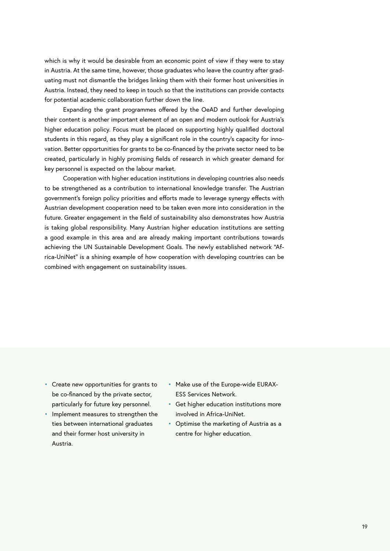which is why it would be desirable from an economic point of view if they were to stay in Austria. At the same time, however, those graduates who leave the country after graduating must not dismantle the bridges linking them with their former host universities in Austria. Instead, they need to keep in touch so that the institutions can provide contacts for potential academic collaboration further down the line.

Expanding the grant programmes offered by the OeAD and further developing their content is another important element of an open and modern outlook for Austria's higher education policy. Focus must be placed on supporting highly qualified doctoral students in this regard, as they play a significant role in the country's capacity for innovation. Better opportunities for grants to be co-financed by the private sector need to be created, particularly in highly promising fields of research in which greater demand for key personnel is expected on the labour market.

Cooperation with higher education institutions in developing countries also needs to be strengthened as a contribution to international knowledge transfer. The Austrian government's foreign policy priorities and efforts made to leverage synergy effects with Austrian development cooperation need to be taken even more into consideration in the future. Greater engagement in the field of sustainability also demonstrates how Austria is taking global responsibility. Many Austrian higher education institutions are setting a good example in this area and are already making important contributions towards achieving the UN Sustainable Development Goals. The newly established network "Africa-UniNet" is a shining example of how cooperation with developing countries can be combined with engagement on sustainability issues.

- Create new opportunities for grants to be co-financed by the private sector, particularly for future key personnel.
- Implement measures to strengthen the ties between international graduates and their former host university in Austria.
- Make use of the Europe-wide EURAX-ESS Services Network.
- Get higher education institutions more involved in Africa-UniNet.
- Optimise the marketing of Austria as a centre for higher education.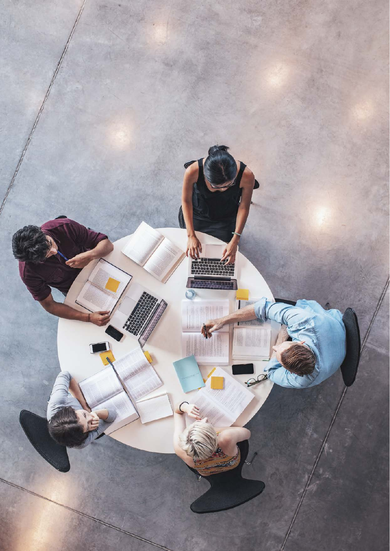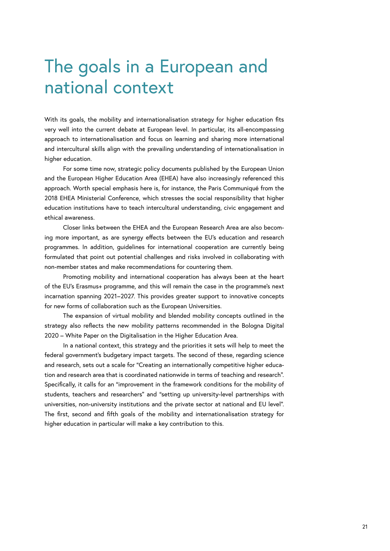### <span id="page-20-0"></span>The goals in a European and national context

With its goals, the mobility and internationalisation strategy for higher education fits very well into the current debate at European level. In particular, its all-encompassing approach to internationalisation and focus on learning and sharing more international and intercultural skills align with the prevailing understanding of internationalisation in higher education.

For some time now, strategic policy documents published by the European Union and the European Higher Education Area (EHEA) have also increasingly referenced this approach. Worth special emphasis here is, for instance, the Paris Communiqué from the 2018 EHEA Ministerial Conference, which stresses the social responsibility that higher education institutions have to teach intercultural understanding, civic engagement and ethical awareness.

Closer links between the EHEA and the European Research Area are also becoming more important, as are synergy effects between the EU's education and research programmes. In addition, guidelines for international cooperation are currently being formulated that point out potential challenges and risks involved in collaborating with non-member states and make recommendations for countering them.

Promoting mobility and international cooperation has always been at the heart of the EU's Erasmus+ programme, and this will remain the case in the programme's next incarnation spanning 2021–2027. This provides greater support to innovative concepts for new forms of collaboration such as the European Universities.

The expansion of virtual mobility and blended mobility concepts outlined in the strategy also reflects the new mobility patterns recommended in the Bologna Digital 2020 – White Paper on the Digitalisation in the Higher Education Area.

In a national context, this strategy and the priorities it sets will help to meet the federal government's budgetary impact targets. The second of these, regarding science and research, sets out a scale for "Creating an internationally competitive higher education and research area that is coordinated nationwide in terms of teaching and research". Specifically, it calls for an "improvement in the framework conditions for the mobility of students, teachers and researchers" and "setting up university-level partnerships with universities, non-university institutions and the private sector at national and EU level". The first, second and fifth goals of the mobility and internationalisation strategy for higher education in particular will make a key contribution to this.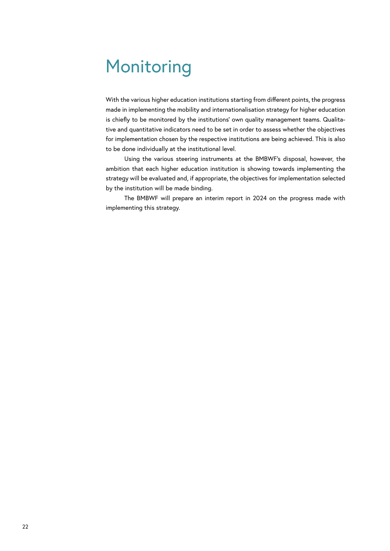### <span id="page-21-0"></span>Monitoring

With the various higher education institutions starting from different points, the progress made in implementing the mobility and internationalisation strategy for higher education is chiefly to be monitored by the institutions' own quality management teams. Qualitative and quantitative indicators need to be set in order to assess whether the objectives for implementation chosen by the respective institutions are being achieved. This is also to be done individually at the institutional level.

Using the various steering instruments at the BMBWF's disposal, however, the ambition that each higher education institution is showing towards implementing the strategy will be evaluated and, if appropriate, the objectives for implementation selected by the institution will be made binding.

The BMBWF will prepare an interim report in 2024 on the progress made with implementing this strategy.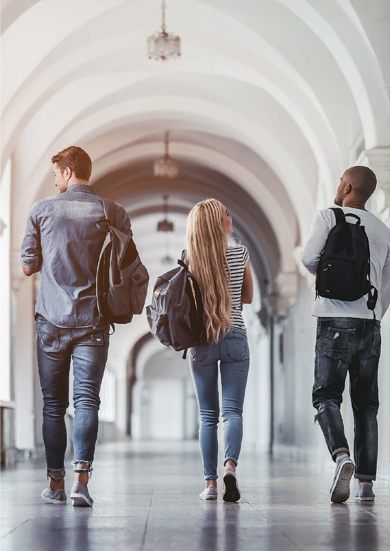